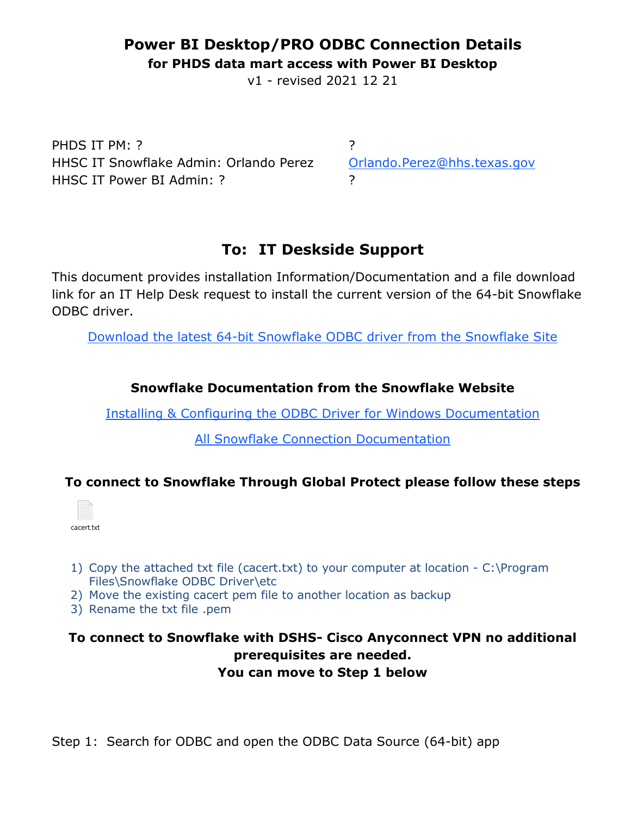## **Power BI Desktop/PRO ODBC Connection Details**

**for PHDS data mart access with Power BI Desktop**

v1 - revised 2021 12 21

PHDS IT PM: ? ? HHSC IT Snowflake Admin: Orlando Perez [Orlando.Perez@hhs.texas.gov](mailto:Orlando.Perez@hhs.texas.gov) HHSC IT Power BI Admin: ? ?

# **To: IT Deskside Support**

This document provides installation Information/Documentation and a file download link for an IT Help Desk request to install the current version of the 64-bit Snowflake ODBC driver.

[Download the latest 64-bit Snowflake ODBC driver from the Snowflake Site](https://sfc-repo.snowflakecomputing.com/odbc/win64/latest/index.html)

### **Snowflake Documentation from the Snowflake Website**

[Installing & Configuring the ODBC Driver for Windows Documentation](https://docs.snowflake.com/en/user-guide/odbc-windows.html) 

[All Snowflake Connection Documentation](https://docs.snowflake.com/en/user-guide-connecting.html)

### **To connect to Snowflake Through Global Protect please follow these steps**



- 1) Copy the attached txt file (cacert.txt) to your computer at location C:\Program Files\Snowflake ODBC Driver\etc
- 2) Move the existing cacert pem file to another location as backup
- 3) Rename the txt file .pem

### **To connect to Snowflake with DSHS- Cisco Anyconnect VPN no additional prerequisites are needed. You can move to Step 1 below**

Step 1: Search for ODBC and open the ODBC Data Source (64-bit) app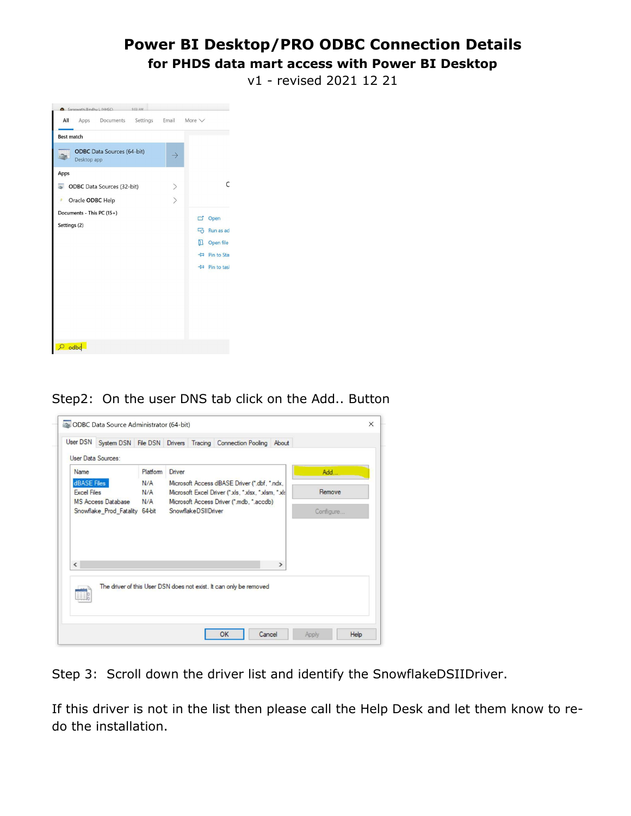# **Power BI Desktop/PRO ODBC Connection Details**

#### **for PHDS data mart access with Power BI Desktop**

v1 - revised 2021 12 21



Step2: On the user DNS tab click on the Add.. Button



Step 3: Scroll down the driver list and identify the SnowflakeDSIIDriver.

If this driver is not in the list then please call the Help Desk and let them know to redo the installation.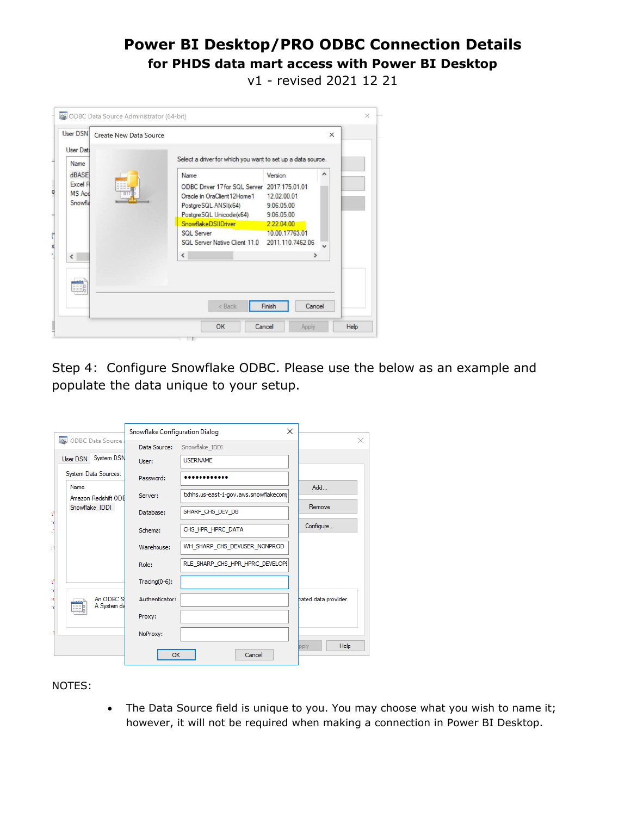## **Power BI Desktop/PRO ODBC Connection Details for PHDS data mart access with Power BI Desktop**

v1 - revised 2021 12 21

| User DSN                                                    | Create New Data Source |                                                                                                                                                                                                         |                                                       | $\times$ |
|-------------------------------------------------------------|------------------------|---------------------------------------------------------------------------------------------------------------------------------------------------------------------------------------------------------|-------------------------------------------------------|----------|
| User Data                                                   |                        | Select a driver for which you want to set up a data source.                                                                                                                                             |                                                       |          |
| Name<br><b>dBASE</b><br>Excel F<br><b>MS Acc</b><br>Snowfla |                        | Name<br>ODBC Driver 17 for SQL Server 2017.175.01.01<br>Oracle in OraClient 12Home 1 12020001<br>PostgreSQL ANSI(x64)<br>PostgreSQL Unicode(x64) 9.06.05.00<br>SnowflakeDSIIDriver<br><b>SQL Server</b> | Version<br>9.06.05.00<br>2.22.04.00<br>10.00.17763.01 | ۸        |
| $\langle$                                                   |                        | SQL Server Native Client 11.0 2011.110.7462.06<br>$\hat{}$                                                                                                                                              | $\rightarrow$                                         |          |
|                                                             |                        | < Back                                                                                                                                                                                                  | Finish<br>Cancel                                      |          |

Step 4: Configure Snowflake ODBC. Please use the below as an example and populate the data unique to your setup.

|    |                                    | Snowflake Configuration Dialog |                                       | $\times$             |
|----|------------------------------------|--------------------------------|---------------------------------------|----------------------|
|    | ODBC Data Source                   | Data Source:                   | Snowflake IDDI                        | ×.                   |
|    | User DSN System DSN                | User:                          | <b>USERNAME</b>                       |                      |
|    | System Data Sources:               | Password:                      |                                       |                      |
|    | <b>Name</b><br>Amazon Redshift ODB | Server:                        | txhhs.us-east-1-gov.aws.snowflakecomp | Add                  |
|    | Snowflake_IDDI                     | Database:                      | SHARP_CHS_DEV_DB                      | Remove               |
|    |                                    | Schema:                        | CHS_HPR_HPRC_DATA                     | Configure            |
|    |                                    | Warehouse:                     | WH_SHARP_CHS_DEVUSER_NONPROD          |                      |
|    |                                    | Role:                          | RLE SHARP CHS HPR HPRC DEVELOPE       |                      |
| ť  |                                    | Tracing $(0-6)$ :              |                                       |                      |
| ١t | An ODBC S<br>A System da           | Authenticator:                 |                                       | bated data provider. |
|    |                                    | Proxy:                         |                                       |                      |
|    |                                    | NoProxy:                       |                                       |                      |
|    |                                    | OK                             | Cancel                                | Help<br>pply         |

#### NOTES:

• The Data Source field is unique to you. You may choose what you wish to name it; however, it will not be required when making a connection in Power BI Desktop.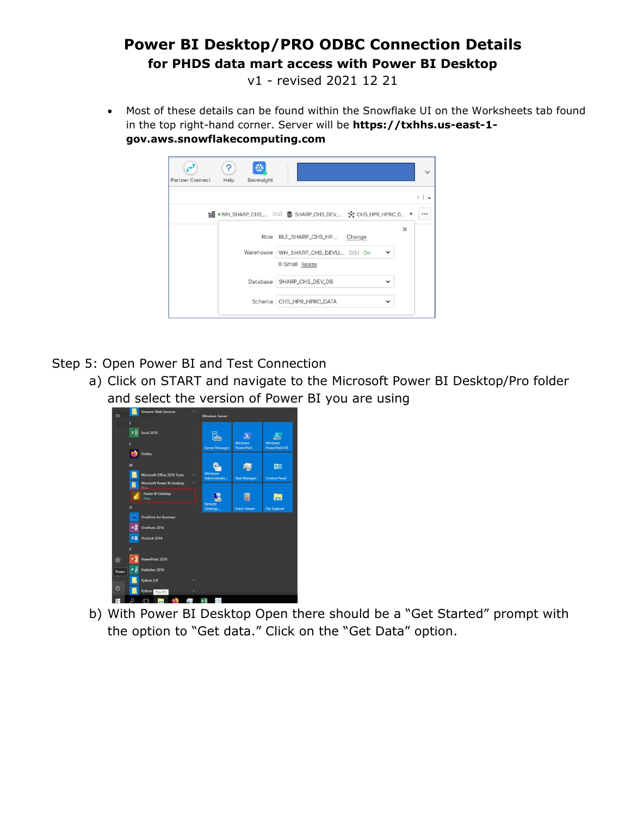# **Power BI Desktop/PRO ODBC Connection Details for PHDS data mart access with Power BI Desktop**

v1 - revised 2021 12 21

• Most of these details can be found within the Snowflake UI on the Worksheets tab found in the top right-hand corner. Server will be **https://txhhs.us-east-1 gov.aws.snowflakecomputing.com**

| Snowsight<br><b>Partner Connect</b><br>Help |                                                      |              |
|---------------------------------------------|------------------------------------------------------|--------------|
|                                             |                                                      |              |
|                                             | WH_SHARP_CHS_ (XS) SHARP_CHS_DEV_ % CHS_HPR_HPRC_D * |              |
| Role                                        | RLE_SHARP_CHS_HP Change                              | $\times$     |
|                                             | Warehouse WH_SHARP_CHS_DEVU (XS) On                  | $\checkmark$ |
|                                             | X-Small Resize                                       |              |
| Database                                    | SHARP_CHS_DEV_DB                                     |              |
| Schema                                      | CHS_HPR_HPRC_DATA                                    |              |

Step 5: Open Power BI and Test Connection

a) Click on START and navigate to the Microsoft Power BI Desktop/Pro folder and select the version of Power BI you are using



b) With Power BI Desktop Open there should be a "Get Started" prompt with the option to "Get data." Click on the "Get Data" option.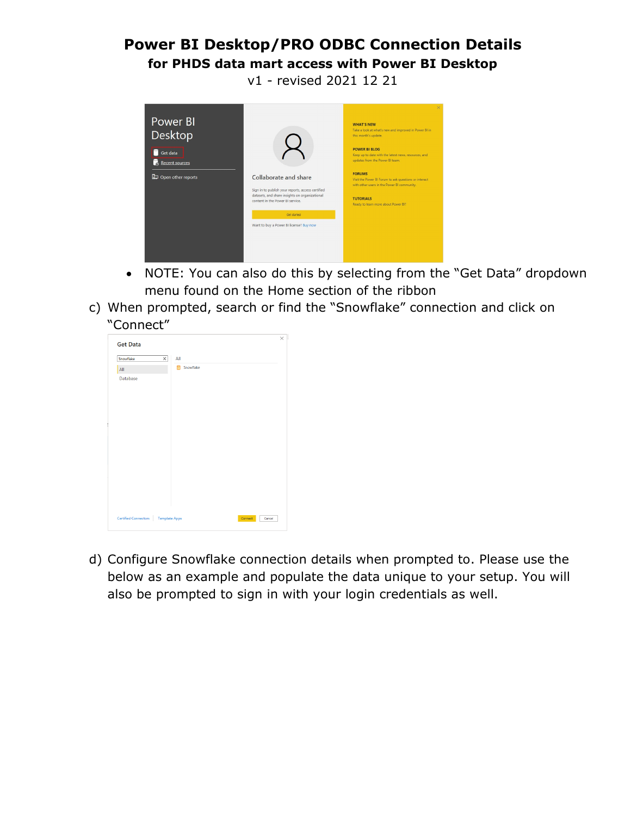# **Power BI Desktop/PRO ODBC Connection Details for PHDS data mart access with Power BI Desktop**

v1 - revised 2021 12 21



- NOTE: You can also do this by selecting from the "Get Data" dropdown menu found on the Home section of the ribbon
- c) When prompted, search or find the "Snowflake" connection and click on "Connect"



d) Configure Snowflake connection details when prompted to. Please use the below as an example and populate the data unique to your setup. You will also be prompted to sign in with your login credentials as well.